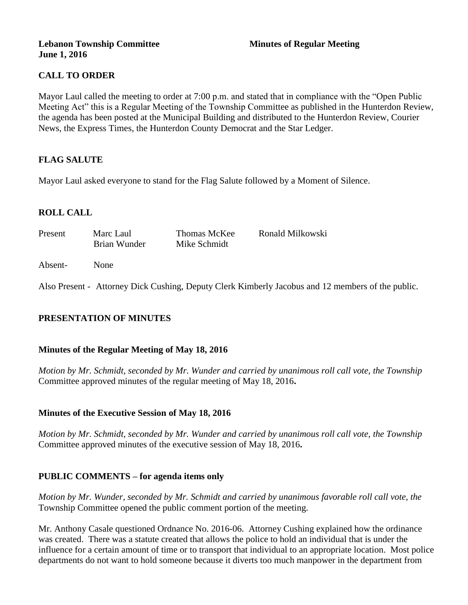#### **Lebanon Township Committee 3 2008 Minutes of Regular Meeting June 1, 2016**

# **CALL TO ORDER**

Mayor Laul called the meeting to order at 7:00 p.m. and stated that in compliance with the "Open Public Meeting Act" this is a Regular Meeting of the Township Committee as published in the Hunterdon Review, the agenda has been posted at the Municipal Building and distributed to the Hunterdon Review, Courier News, the Express Times, the Hunterdon County Democrat and the Star Ledger.

## **FLAG SALUTE**

Mayor Laul asked everyone to stand for the Flag Salute followed by a Moment of Silence.

## **ROLL CALL**

| Present | Marc Laul<br>Brian Wunder | Thomas McKee<br>Mike Schmidt | Ronald Milkowski |
|---------|---------------------------|------------------------------|------------------|
| Absent- | None                      |                              |                  |

Also Present - Attorney Dick Cushing, Deputy Clerk Kimberly Jacobus and 12 members of the public.

## **PRESENTATION OF MINUTES**

#### **Minutes of the Regular Meeting of May 18, 2016**

*Motion by Mr. Schmidt, seconded by Mr. Wunder and carried by unanimous roll call vote, the Township* Committee approved minutes of the regular meeting of May 18, 2016**.** 

#### **Minutes of the Executive Session of May 18, 2016**

*Motion by Mr. Schmidt, seconded by Mr. Wunder and carried by unanimous roll call vote, the Township* Committee approved minutes of the executive session of May 18, 2016**.** 

#### **PUBLIC COMMENTS – for agenda items only**

*Motion by Mr. Wunder, seconded by Mr. Schmidt and carried by unanimous favorable roll call vote, the*  Township Committee opened the public comment portion of the meeting.

Mr. Anthony Casale questioned Ordnance No. 2016-06. Attorney Cushing explained how the ordinance was created. There was a statute created that allows the police to hold an individual that is under the influence for a certain amount of time or to transport that individual to an appropriate location. Most police departments do not want to hold someone because it diverts too much manpower in the department from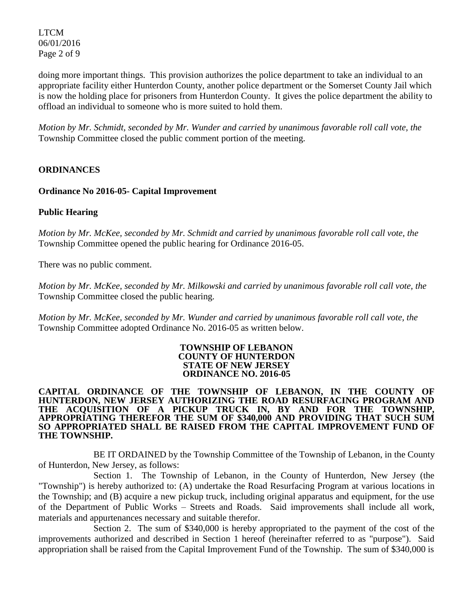LTCM 06/01/2016 Page 2 of 9

doing more important things. This provision authorizes the police department to take an individual to an appropriate facility either Hunterdon County, another police department or the Somerset County Jail which is now the holding place for prisoners from Hunterdon County. It gives the police department the ability to offload an individual to someone who is more suited to hold them.

*Motion by Mr. Schmidt, seconded by Mr. Wunder and carried by unanimous favorable roll call vote, the*  Township Committee closed the public comment portion of the meeting.

## **ORDINANCES**

#### **Ordinance No 2016-05- Capital Improvement**

## **Public Hearing**

*Motion by Mr. McKee, seconded by Mr. Schmidt and carried by unanimous favorable roll call vote, the*  Township Committee opened the public hearing for Ordinance 2016-05.

There was no public comment.

*Motion by Mr. McKee, seconded by Mr. Milkowski and carried by unanimous favorable roll call vote, the*  Township Committee closed the public hearing.

*Motion by Mr. McKee, seconded by Mr. Wunder and carried by unanimous favorable roll call vote, the*  Township Committee adopted Ordinance No. 2016-05 as written below.

#### **TOWNSHIP OF LEBANON COUNTY OF HUNTERDON STATE OF NEW JERSEY ORDINANCE NO. 2016-05**

#### **CAPITAL ORDINANCE OF THE TOWNSHIP OF LEBANON, IN THE COUNTY OF HUNTERDON, NEW JERSEY AUTHORIZING THE ROAD RESURFACING PROGRAM AND THE ACQUISITION OF A PICKUP TRUCK IN, BY AND FOR THE TOWNSHIP, APPROPRIATING THEREFOR THE SUM OF \$340,000 AND PROVIDING THAT SUCH SUM SO APPROPRIATED SHALL BE RAISED FROM THE CAPITAL IMPROVEMENT FUND OF THE TOWNSHIP.**

BE IT ORDAINED by the Township Committee of the Township of Lebanon, in the County of Hunterdon, New Jersey, as follows:

Section 1. The Township of Lebanon, in the County of Hunterdon, New Jersey (the "Township") is hereby authorized to: (A) undertake the Road Resurfacing Program at various locations in the Township; and (B) acquire a new pickup truck, including original apparatus and equipment, for the use of the Department of Public Works – Streets and Roads. Said improvements shall include all work, materials and appurtenances necessary and suitable therefor.

Section 2. The sum of \$340,000 is hereby appropriated to the payment of the cost of the improvements authorized and described in Section 1 hereof (hereinafter referred to as "purpose"). Said appropriation shall be raised from the Capital Improvement Fund of the Township. The sum of \$340,000 is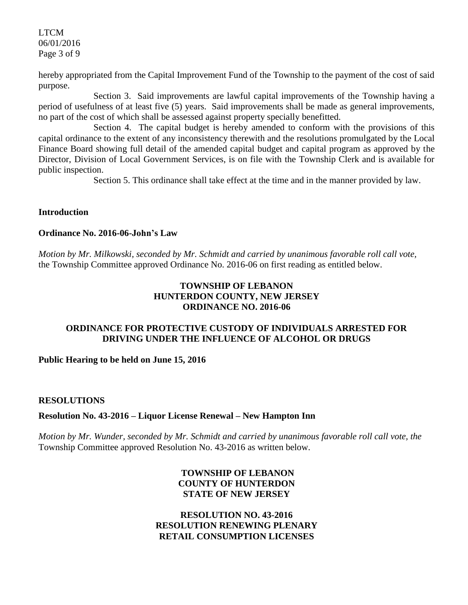LTCM 06/01/2016 Page 3 of 9

hereby appropriated from the Capital Improvement Fund of the Township to the payment of the cost of said purpose.

Section 3. Said improvements are lawful capital improvements of the Township having a period of usefulness of at least five (5) years. Said improvements shall be made as general improvements, no part of the cost of which shall be assessed against property specially benefitted.

Section 4. The capital budget is hereby amended to conform with the provisions of this capital ordinance to the extent of any inconsistency therewith and the resolutions promulgated by the Local Finance Board showing full detail of the amended capital budget and capital program as approved by the Director, Division of Local Government Services, is on file with the Township Clerk and is available for public inspection.

Section 5. This ordinance shall take effect at the time and in the manner provided by law.

## **Introduction**

#### **Ordinance No. 2016-06-John's Law**

*Motion by Mr. Milkowski, seconded by Mr. Schmidt and carried by unanimous favorable roll call vote,* the Township Committee approved Ordinance No. 2016-06 on first reading as entitled below.

## **TOWNSHIP OF LEBANON HUNTERDON COUNTY, NEW JERSEY ORDINANCE NO. 2016-06**

## **ORDINANCE FOR PROTECTIVE CUSTODY OF INDIVIDUALS ARRESTED FOR DRIVING UNDER THE INFLUENCE OF ALCOHOL OR DRUGS**

**Public Hearing to be held on June 15, 2016**

#### **RESOLUTIONS**

## **Resolution No. 43-2016 – Liquor License Renewal – New Hampton Inn**

*Motion by Mr. Wunder, seconded by Mr. Schmidt and carried by unanimous favorable roll call vote, the* Township Committee approved Resolution No. 43-2016 as written below.

## **TOWNSHIP OF LEBANON COUNTY OF HUNTERDON STATE OF NEW JERSEY**

## **RESOLUTION NO. 43-2016 RESOLUTION RENEWING PLENARY RETAIL CONSUMPTION LICENSES**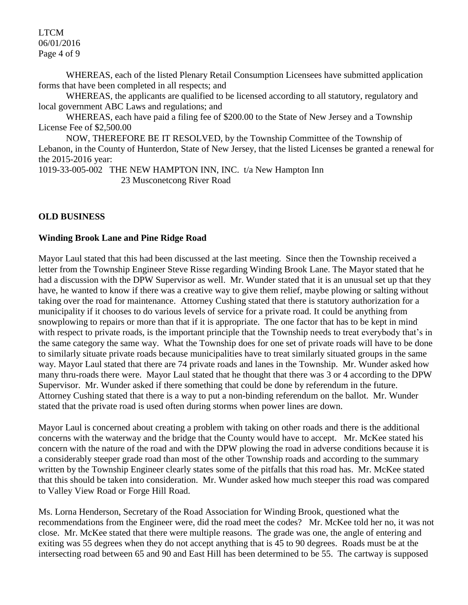LTCM 06/01/2016 Page 4 of 9

WHEREAS, each of the listed Plenary Retail Consumption Licensees have submitted application forms that have been completed in all respects; and

WHEREAS, the applicants are qualified to be licensed according to all statutory, regulatory and local government ABC Laws and regulations; and

WHEREAS, each have paid a filing fee of \$200.00 to the State of New Jersey and a Township License Fee of \$2,500.00

NOW, THEREFORE BE IT RESOLVED, by the Township Committee of the Township of Lebanon, in the County of Hunterdon, State of New Jersey, that the listed Licenses be granted a renewal for the 2015-2016 year:

1019-33-005-002 THE NEW HAMPTON INN, INC. t/a New Hampton Inn 23 Musconetcong River Road

## **OLD BUSINESS**

## **Winding Brook Lane and Pine Ridge Road**

Mayor Laul stated that this had been discussed at the last meeting. Since then the Township received a letter from the Township Engineer Steve Risse regarding Winding Brook Lane. The Mayor stated that he had a discussion with the DPW Supervisor as well. Mr. Wunder stated that it is an unusual set up that they have, he wanted to know if there was a creative way to give them relief, maybe plowing or salting without taking over the road for maintenance. Attorney Cushing stated that there is statutory authorization for a municipality if it chooses to do various levels of service for a private road. It could be anything from snowplowing to repairs or more than that if it is appropriate. The one factor that has to be kept in mind with respect to private roads, is the important principle that the Township needs to treat everybody that's in the same category the same way. What the Township does for one set of private roads will have to be done to similarly situate private roads because municipalities have to treat similarly situated groups in the same way. Mayor Laul stated that there are 74 private roads and lanes in the Township. Mr. Wunder asked how many thru-roads there were. Mayor Laul stated that he thought that there was 3 or 4 according to the DPW Supervisor. Mr. Wunder asked if there something that could be done by referendum in the future. Attorney Cushing stated that there is a way to put a non-binding referendum on the ballot. Mr. Wunder stated that the private road is used often during storms when power lines are down.

Mayor Laul is concerned about creating a problem with taking on other roads and there is the additional concerns with the waterway and the bridge that the County would have to accept. Mr. McKee stated his concern with the nature of the road and with the DPW plowing the road in adverse conditions because it is a considerably steeper grade road than most of the other Township roads and according to the summary written by the Township Engineer clearly states some of the pitfalls that this road has. Mr. McKee stated that this should be taken into consideration. Mr. Wunder asked how much steeper this road was compared to Valley View Road or Forge Hill Road.

Ms. Lorna Henderson, Secretary of the Road Association for Winding Brook, questioned what the recommendations from the Engineer were, did the road meet the codes? Mr. McKee told her no, it was not close. Mr. McKee stated that there were multiple reasons. The grade was one, the angle of entering and exiting was 55 degrees when they do not accept anything that is 45 to 90 degrees. Roads must be at the intersecting road between 65 and 90 and East Hill has been determined to be 55. The cartway is supposed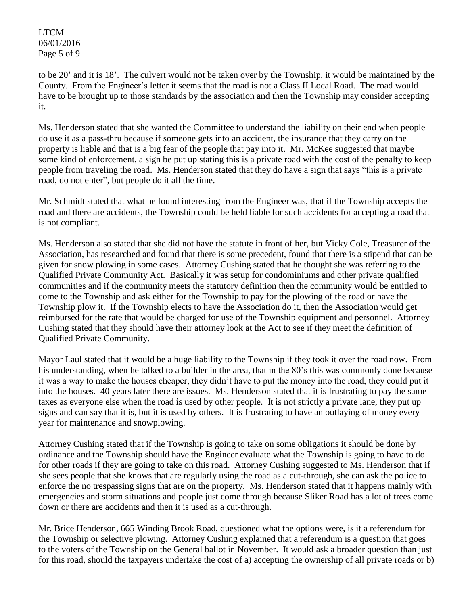LTCM 06/01/2016 Page 5 of 9

to be 20' and it is 18'. The culvert would not be taken over by the Township, it would be maintained by the County. From the Engineer's letter it seems that the road is not a Class II Local Road. The road would have to be brought up to those standards by the association and then the Township may consider accepting it.

Ms. Henderson stated that she wanted the Committee to understand the liability on their end when people do use it as a pass-thru because if someone gets into an accident, the insurance that they carry on the property is liable and that is a big fear of the people that pay into it. Mr. McKee suggested that maybe some kind of enforcement, a sign be put up stating this is a private road with the cost of the penalty to keep people from traveling the road. Ms. Henderson stated that they do have a sign that says "this is a private road, do not enter", but people do it all the time.

Mr. Schmidt stated that what he found interesting from the Engineer was, that if the Township accepts the road and there are accidents, the Township could be held liable for such accidents for accepting a road that is not compliant.

Ms. Henderson also stated that she did not have the statute in front of her, but Vicky Cole, Treasurer of the Association, has researched and found that there is some precedent, found that there is a stipend that can be given for snow plowing in some cases. Attorney Cushing stated that he thought she was referring to the Qualified Private Community Act. Basically it was setup for condominiums and other private qualified communities and if the community meets the statutory definition then the community would be entitled to come to the Township and ask either for the Township to pay for the plowing of the road or have the Township plow it. If the Township elects to have the Association do it, then the Association would get reimbursed for the rate that would be charged for use of the Township equipment and personnel. Attorney Cushing stated that they should have their attorney look at the Act to see if they meet the definition of Qualified Private Community.

Mayor Laul stated that it would be a huge liability to the Township if they took it over the road now. From his understanding, when he talked to a builder in the area, that in the 80's this was commonly done because it was a way to make the houses cheaper, they didn't have to put the money into the road, they could put it into the houses. 40 years later there are issues. Ms. Henderson stated that it is frustrating to pay the same taxes as everyone else when the road is used by other people. It is not strictly a private lane, they put up signs and can say that it is, but it is used by others. It is frustrating to have an outlaying of money every year for maintenance and snowplowing.

Attorney Cushing stated that if the Township is going to take on some obligations it should be done by ordinance and the Township should have the Engineer evaluate what the Township is going to have to do for other roads if they are going to take on this road. Attorney Cushing suggested to Ms. Henderson that if she sees people that she knows that are regularly using the road as a cut-through, she can ask the police to enforce the no trespassing signs that are on the property. Ms. Henderson stated that it happens mainly with emergencies and storm situations and people just come through because Sliker Road has a lot of trees come down or there are accidents and then it is used as a cut-through.

Mr. Brice Henderson, 665 Winding Brook Road, questioned what the options were, is it a referendum for the Township or selective plowing. Attorney Cushing explained that a referendum is a question that goes to the voters of the Township on the General ballot in November. It would ask a broader question than just for this road, should the taxpayers undertake the cost of a) accepting the ownership of all private roads or b)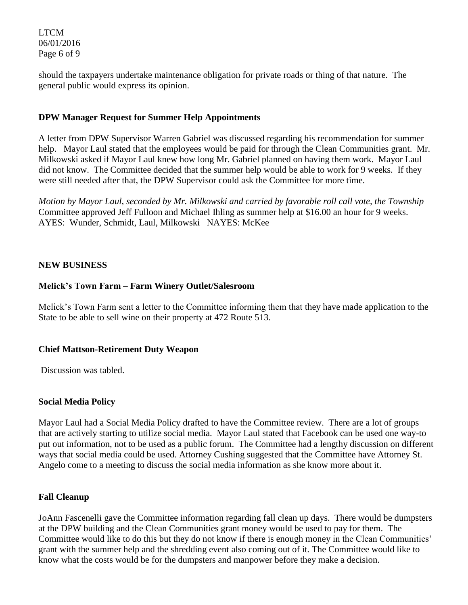LTCM 06/01/2016 Page 6 of 9

should the taxpayers undertake maintenance obligation for private roads or thing of that nature. The general public would express its opinion.

## **DPW Manager Request for Summer Help Appointments**

A letter from DPW Supervisor Warren Gabriel was discussed regarding his recommendation for summer help. Mayor Laul stated that the employees would be paid for through the Clean Communities grant. Mr. Milkowski asked if Mayor Laul knew how long Mr. Gabriel planned on having them work. Mayor Laul did not know. The Committee decided that the summer help would be able to work for 9 weeks. If they were still needed after that, the DPW Supervisor could ask the Committee for more time.

*Motion by Mayor Laul, seconded by Mr. Milkowski and carried by favorable roll call vote, the Township* Committee approved Jeff Fulloon and Michael Ihling as summer help at \$16.00 an hour for 9 weeks. AYES: Wunder, Schmidt, Laul, Milkowski NAYES: McKee

## **NEW BUSINESS**

## **Melick's Town Farm – Farm Winery Outlet/Salesroom**

Melick's Town Farm sent a letter to the Committee informing them that they have made application to the State to be able to sell wine on their property at 472 Route 513.

#### **Chief Mattson-Retirement Duty Weapon**

Discussion was tabled.

#### **Social Media Policy**

Mayor Laul had a Social Media Policy drafted to have the Committee review. There are a lot of groups that are actively starting to utilize social media. Mayor Laul stated that Facebook can be used one way-to put out information, not to be used as a public forum. The Committee had a lengthy discussion on different ways that social media could be used. Attorney Cushing suggested that the Committee have Attorney St. Angelo come to a meeting to discuss the social media information as she know more about it.

#### **Fall Cleanup**

JoAnn Fascenelli gave the Committee information regarding fall clean up days. There would be dumpsters at the DPW building and the Clean Communities grant money would be used to pay for them. The Committee would like to do this but they do not know if there is enough money in the Clean Communities' grant with the summer help and the shredding event also coming out of it. The Committee would like to know what the costs would be for the dumpsters and manpower before they make a decision.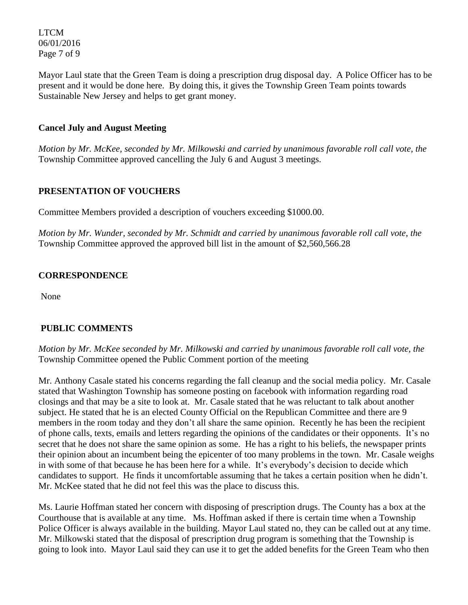LTCM 06/01/2016 Page 7 of 9

Mayor Laul state that the Green Team is doing a prescription drug disposal day. A Police Officer has to be present and it would be done here. By doing this, it gives the Township Green Team points towards Sustainable New Jersey and helps to get grant money.

## **Cancel July and August Meeting**

*Motion by Mr. McKee, seconded by Mr. Milkowski and carried by unanimous favorable roll call vote, the*  Township Committee approved cancelling the July 6 and August 3 meetings.

# **PRESENTATION OF VOUCHERS**

Committee Members provided a description of vouchers exceeding \$1000.00.

*Motion by Mr. Wunder, seconded by Mr. Schmidt and carried by unanimous favorable roll call vote*, *the*  Township Committee approved the approved bill list in the amount of \$2,560,566.28

## **CORRESPONDENCE**

None

# **PUBLIC COMMENTS**

*Motion by Mr. McKee seconded by Mr. Milkowski and carried by unanimous favorable roll call vote, the*  Township Committee opened the Public Comment portion of the meeting

Mr. Anthony Casale stated his concerns regarding the fall cleanup and the social media policy. Mr. Casale stated that Washington Township has someone posting on facebook with information regarding road closings and that may be a site to look at. Mr. Casale stated that he was reluctant to talk about another subject. He stated that he is an elected County Official on the Republican Committee and there are 9 members in the room today and they don't all share the same opinion. Recently he has been the recipient of phone calls, texts, emails and letters regarding the opinions of the candidates or their opponents. It's no secret that he does not share the same opinion as some. He has a right to his beliefs, the newspaper prints their opinion about an incumbent being the epicenter of too many problems in the town. Mr. Casale weighs in with some of that because he has been here for a while. It's everybody's decision to decide which candidates to support. He finds it uncomfortable assuming that he takes a certain position when he didn't. Mr. McKee stated that he did not feel this was the place to discuss this.

Ms. Laurie Hoffman stated her concern with disposing of prescription drugs. The County has a box at the Courthouse that is available at any time. Ms. Hoffman asked if there is certain time when a Township Police Officer is always available in the building. Mayor Laul stated no, they can be called out at any time. Mr. Milkowski stated that the disposal of prescription drug program is something that the Township is going to look into. Mayor Laul said they can use it to get the added benefits for the Green Team who then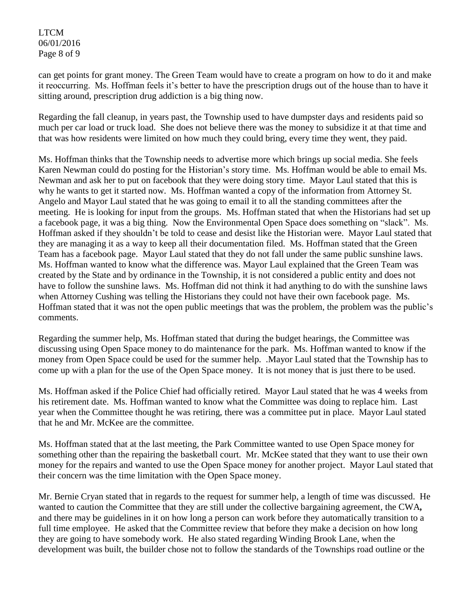LTCM 06/01/2016 Page 8 of 9

can get points for grant money. The Green Team would have to create a program on how to do it and make it reoccurring. Ms. Hoffman feels it's better to have the prescription drugs out of the house than to have it sitting around, prescription drug addiction is a big thing now.

Regarding the fall cleanup, in years past, the Township used to have dumpster days and residents paid so much per car load or truck load. She does not believe there was the money to subsidize it at that time and that was how residents were limited on how much they could bring, every time they went, they paid.

Ms. Hoffman thinks that the Township needs to advertise more which brings up social media. She feels Karen Newman could do posting for the Historian's story time. Ms. Hoffman would be able to email Ms. Newman and ask her to put on facebook that they were doing story time. Mayor Laul stated that this is why he wants to get it started now. Ms. Hoffman wanted a copy of the information from Attorney St. Angelo and Mayor Laul stated that he was going to email it to all the standing committees after the meeting. He is looking for input from the groups. Ms. Hoffman stated that when the Historians had set up a facebook page, it was a big thing. Now the Environmental Open Space does something on "slack". Ms. Hoffman asked if they shouldn't be told to cease and desist like the Historian were. Mayor Laul stated that they are managing it as a way to keep all their documentation filed. Ms. Hoffman stated that the Green Team has a facebook page. Mayor Laul stated that they do not fall under the same public sunshine laws. Ms. Hoffman wanted to know what the difference was. Mayor Laul explained that the Green Team was created by the State and by ordinance in the Township, it is not considered a public entity and does not have to follow the sunshine laws. Ms. Hoffman did not think it had anything to do with the sunshine laws when Attorney Cushing was telling the Historians they could not have their own facebook page. Ms. Hoffman stated that it was not the open public meetings that was the problem, the problem was the public's comments.

Regarding the summer help, Ms. Hoffman stated that during the budget hearings, the Committee was discussing using Open Space money to do maintenance for the park. Ms. Hoffman wanted to know if the money from Open Space could be used for the summer help. .Mayor Laul stated that the Township has to come up with a plan for the use of the Open Space money. It is not money that is just there to be used.

Ms. Hoffman asked if the Police Chief had officially retired. Mayor Laul stated that he was 4 weeks from his retirement date. Ms. Hoffman wanted to know what the Committee was doing to replace him. Last year when the Committee thought he was retiring, there was a committee put in place. Mayor Laul stated that he and Mr. McKee are the committee.

Ms. Hoffman stated that at the last meeting, the Park Committee wanted to use Open Space money for something other than the repairing the basketball court. Mr. McKee stated that they want to use their own money for the repairs and wanted to use the Open Space money for another project. Mayor Laul stated that their concern was the time limitation with the Open Space money.

Mr. Bernie Cryan stated that in regards to the request for summer help, a length of time was discussed. He wanted to caution the Committee that they are still under the collective bargaining agreement, the CWA*,* and there may be guidelines in it on how long a person can work before they automatically transition to a full time employee. He asked that the Committee review that before they make a decision on how long they are going to have somebody work. He also stated regarding Winding Brook Lane, when the development was built, the builder chose not to follow the standards of the Townships road outline or the